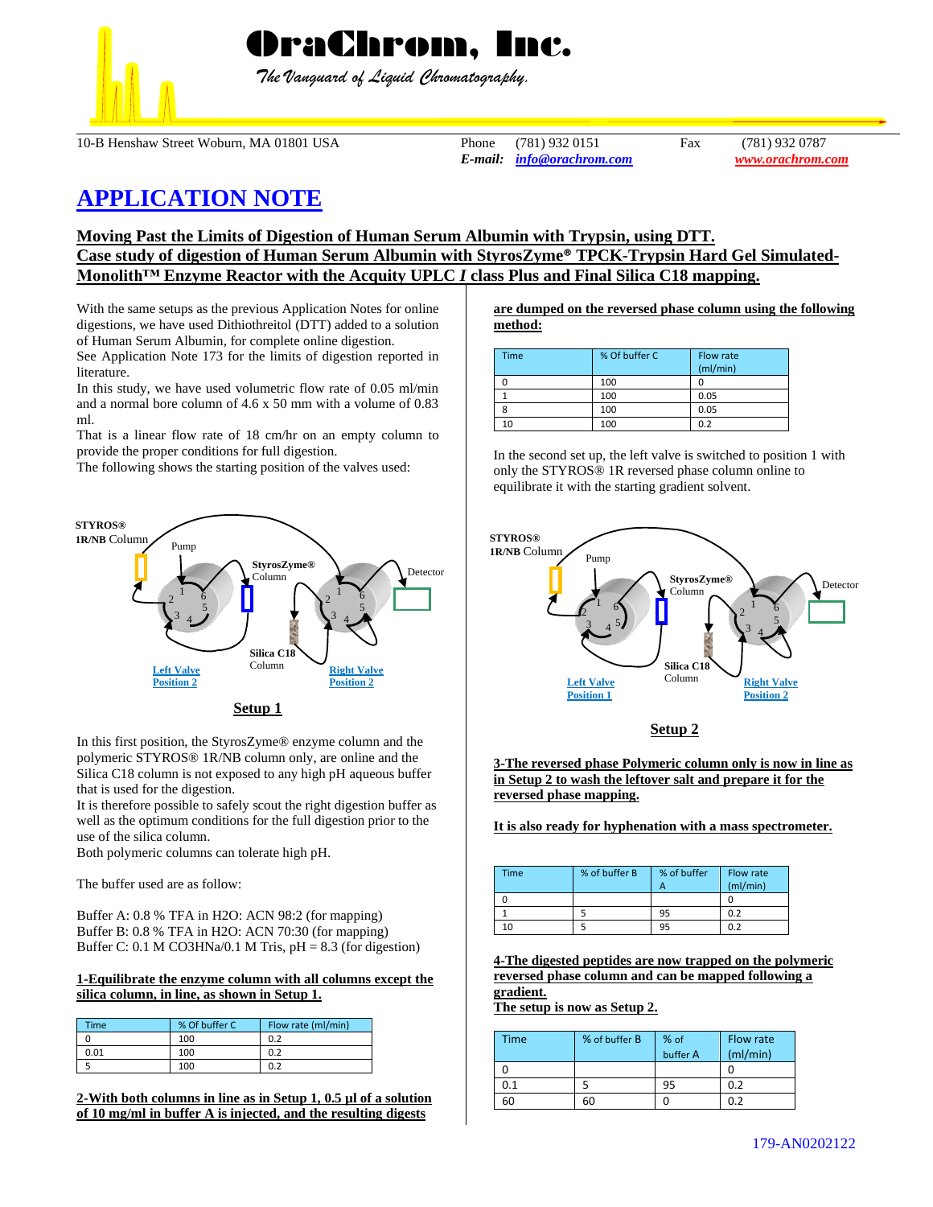

 *The Vanguard of Liquid Chromatography.*

10-B Henshaw Street Woburn, MA 01801 USA Phone (781) 932 0151 Fax (781) 932 0787

*E-mail: [info@orachrom.com](mailto:info@orachrom.com) www.orachrom.com*

# **APPLICATION NOTE**

## **Moving Past the Limits of Digestion of Human Serum Albumin with Trypsin, using DTT. Case study of digestion of Human Serum Albumin with StyrosZyme® TPCK-Trypsin Hard Gel Simulated-Monolith™ Enzyme Reactor with the Acquity UPLC** *I* **class Plus and Final Silica C18 mapping.**

With the same setups as the previous Application Notes for online digestions, we have used Dithiothreitol (DTT) added to a solution of Human Serum Albumin, for complete online digestion.

See Application Note 173 for the limits of digestion reported in literature.

In this study, we have used volumetric flow rate of 0.05 ml/min and a normal bore column of 4.6 x 50 mm with a volume of 0.83 ml.

That is a linear flow rate of 18 cm/hr on an empty column to provide the proper conditions for full digestion.

The following shows the starting position of the valves used:



In this first position, the StyrosZyme® enzyme column and the polymeric STYROS® 1R/NB column only, are online and the Silica C18 column is not exposed to any high pH aqueous buffer that is used for the digestion.

It is therefore possible to safely scout the right digestion buffer as well as the optimum conditions for the full digestion prior to the use of the silica column.

Both polymeric columns can tolerate high pH.

The buffer used are as follow:

Buffer A: 0.8 % TFA in H2O: ACN 98:2 (for mapping) Buffer B: 0.8 % TFA in H2O: ACN 70:30 (for mapping) Buffer C: 0.1 M CO3HNa/0.1 M Tris,  $pH = 8.3$  (for digestion)

#### **1-Equilibrate the enzyme column with all columns except the silica column, in line, as shown in Setup 1.**

| Time | % Of buffer C | Flow rate (ml/min) |
|------|---------------|--------------------|
|      | 100           | 0.2                |
| 0.01 | 100           | 0.2                |
|      | 100           |                    |

**2-With both columns in line as in Setup 1, 0.5 µl of a solution of 10 mg/ml in buffer A is injected, and the resulting digests** 

**are dumped on the reversed phase column using the following method:**

| <b>Time</b> | % Of buffer C | Flow rate<br>(ml/min) |
|-------------|---------------|-----------------------|
|             | 100           |                       |
|             | 100           | 0.05                  |
|             | 100           | 0.05                  |
| 10          | 100           | 0.2                   |

In the second set up, the left valve is switched to position 1 with only the STYROS® 1R reversed phase column online to equilibrate it with the starting gradient solvent.



**Setup 2**

**3-The reversed phase Polymeric column only is now in line as in Setup 2 to wash the leftover salt and prepare it for the reversed phase mapping.** 

**It is also ready for hyphenation with a mass spectrometer.** 

| Time | % of buffer B | % of buffer | Flow rate<br>(mI/min) |
|------|---------------|-------------|-----------------------|
|      |               |             |                       |
|      |               | 95          | 0.2                   |
| 10   |               | 95          | 0.2                   |

**4-The digested peptides are now trapped on the polymeric reversed phase column and can be mapped following a gradient.**

**The setup is now as Setup 2.**

| Time | % of buffer B | % of     | Flow rate |
|------|---------------|----------|-----------|
|      |               | buffer A | (mI/min)  |
|      |               |          |           |
| 0.1  |               | 95       | 0.2       |
| 6С   | 60            |          | በ ን       |